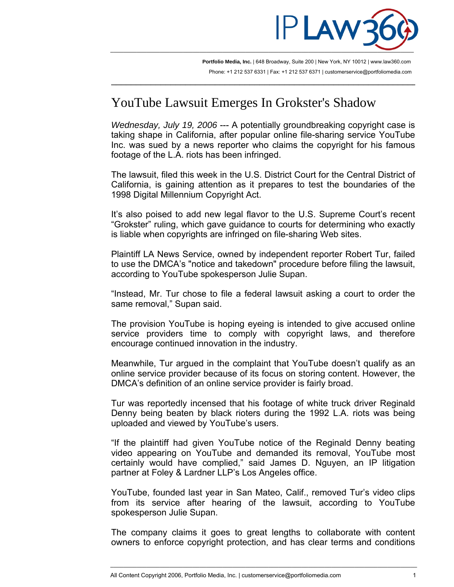

**Portfolio Media, Inc.** | 648 Broadway, Suite 200 | New York, NY 10012 | www.law360.com Phone: +1 212 537 6331 | Fax: +1 212 537 6371 | customerservice@portfoliomedia.com

 $\overline{\phantom{a}}$  , and the contribution of the contribution of the contribution of the contribution of the contribution of  $\overline{\phantom{a}}$ 

## YouTube Lawsuit Emerges In Grokster's Shadow

*Wednesday, July 19, 2006* --- A potentially groundbreaking copyright case is taking shape in California, after popular online file-sharing service YouTube Inc. was sued by a news reporter who claims the copyright for his famous footage of the L.A. riots has been infringed.

The lawsuit, filed this week in the U.S. District Court for the Central District of California, is gaining attention as it prepares to test the boundaries of the 1998 Digital Millennium Copyright Act.

It's also poised to add new legal flavor to the U.S. Supreme Court's recent "Grokster" ruling, which gave guidance to courts for determining who exactly is liable when copyrights are infringed on file-sharing Web sites.

Plaintiff LA News Service, owned by independent reporter Robert Tur, failed to use the DMCA's "notice and takedown" procedure before filing the lawsuit, according to YouTube spokesperson Julie Supan.

"Instead, Mr. Tur chose to file a federal lawsuit asking a court to order the same removal," Supan said.

The provision YouTube is hoping eyeing is intended to give accused online service providers time to comply with copyright laws, and therefore encourage continued innovation in the industry.

Meanwhile, Tur argued in the complaint that YouTube doesn't qualify as an online service provider because of its focus on storing content. However, the DMCA's definition of an online service provider is fairly broad.

Tur was reportedly incensed that his footage of white truck driver Reginald Denny being beaten by black rioters during the 1992 L.A. riots was being uploaded and viewed by YouTube's users.

"If the plaintiff had given YouTube notice of the Reginald Denny beating video appearing on YouTube and demanded its removal, YouTube most certainly would have complied," said James D. Nguyen, an IP litigation partner at Foley & Lardner LLP's Los Angeles office.

YouTube, founded last year in San Mateo, Calif., removed Tur's video clips from its service after hearing of the lawsuit, according to YouTube spokesperson Julie Supan.

The company claims it goes to great lengths to collaborate with content owners to enforce copyright protection, and has clear terms and conditions

\_\_\_\_\_\_\_\_\_\_\_\_\_\_\_\_\_\_\_\_\_\_\_\_\_\_\_\_\_\_\_\_\_\_\_\_\_\_\_\_\_\_\_\_\_\_\_\_\_\_\_\_\_\_\_\_\_\_\_\_\_\_\_\_\_\_\_\_\_\_\_\_\_\_\_\_\_\_\_\_\_\_\_\_\_\_\_\_\_\_\_\_\_

All Content Copyright 2006, Portfolio Media, Inc. | customerservice@portfoliomedia.com 1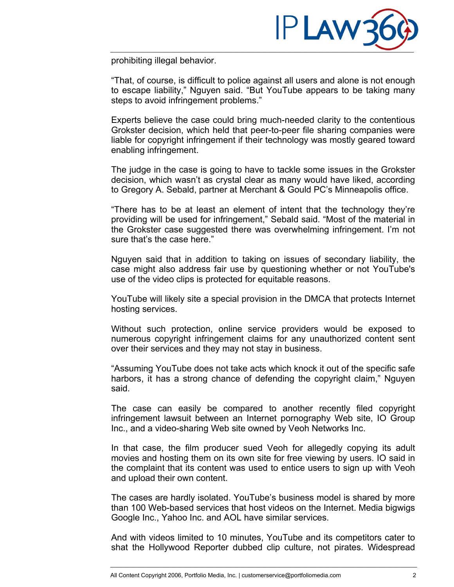

prohibiting illegal behavior.

"That, of course, is difficult to police against all users and alone is not enough to escape liability," Nguyen said. "But YouTube appears to be taking many steps to avoid infringement problems."

Experts believe the case could bring much-needed clarity to the contentious Grokster decision, which held that peer-to-peer file sharing companies were liable for copyright infringement if their technology was mostly geared toward enabling infringement.

The judge in the case is going to have to tackle some issues in the Grokster decision, which wasn't as crystal clear as many would have liked, according to Gregory A. Sebald, partner at Merchant & Gould PC's Minneapolis office.

"There has to be at least an element of intent that the technology they're providing will be used for infringement," Sebald said. "Most of the material in the Grokster case suggested there was overwhelming infringement. I'm not sure that's the case here."

Nguyen said that in addition to taking on issues of secondary liability, the case might also address fair use by questioning whether or not YouTube's use of the video clips is protected for equitable reasons.

YouTube will likely site a special provision in the DMCA that protects Internet hosting services.

Without such protection, online service providers would be exposed to numerous copyright infringement claims for any unauthorized content sent over their services and they may not stay in business.

"Assuming YouTube does not take acts which knock it out of the specific safe harbors, it has a strong chance of defending the copyright claim," Nguyen said.

The case can easily be compared to another recently filed copyright infringement lawsuit between an Internet pornography Web site, IO Group Inc., and a video-sharing Web site owned by Veoh Networks Inc.

In that case, the film producer sued Veoh for allegedly copying its adult movies and hosting them on its own site for free viewing by users. IO said in the complaint that its content was used to entice users to sign up with Veoh and upload their own content.

The cases are hardly isolated. YouTube's business model is shared by more than 100 Web-based services that host videos on the Internet. Media bigwigs Google Inc., Yahoo Inc. and AOL have similar services.

And with videos limited to 10 minutes, YouTube and its competitors cater to shat the Hollywood Reporter dubbed clip culture, not pirates. Widespread

\_\_\_\_\_\_\_\_\_\_\_\_\_\_\_\_\_\_\_\_\_\_\_\_\_\_\_\_\_\_\_\_\_\_\_\_\_\_\_\_\_\_\_\_\_\_\_\_\_\_\_\_\_\_\_\_\_\_\_\_\_\_\_\_\_\_\_\_\_\_\_\_\_\_\_\_\_\_\_\_\_\_\_\_\_\_\_\_\_\_\_\_\_